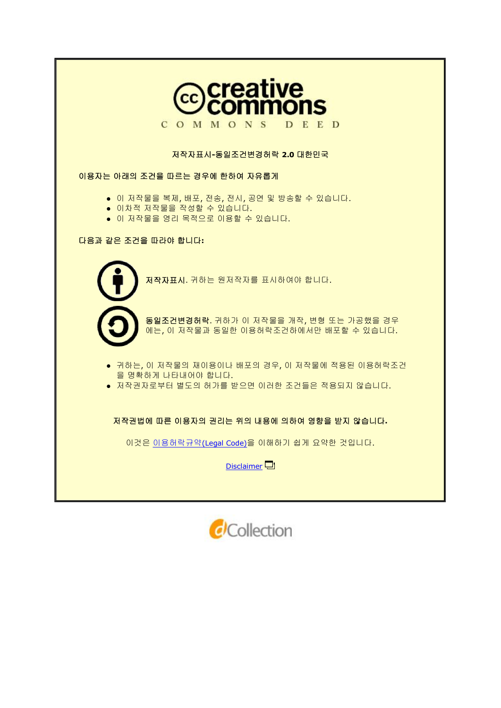

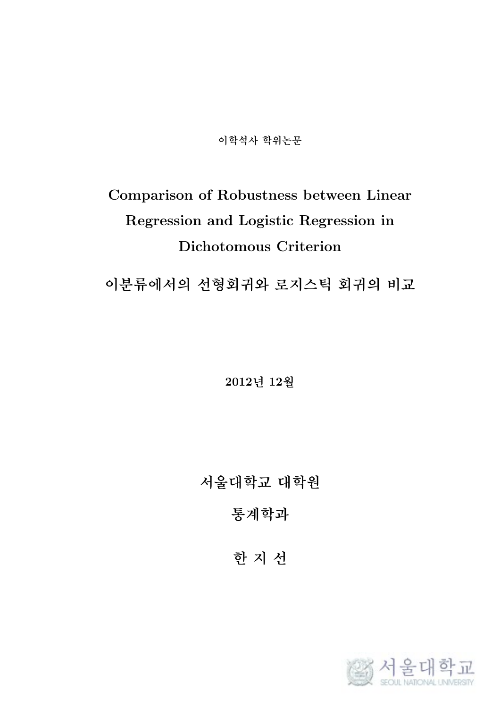**이학석사 학위논문**

# **Comparison of Robustness between Linear Regression and Logistic Regression in Dichotomous Criterion**

**이분류에서의 선형회귀와 로지스틱 회귀의 비교**

**2012년 12월**

**서울대학교 대학원**

**통계학과**

**한 지 선**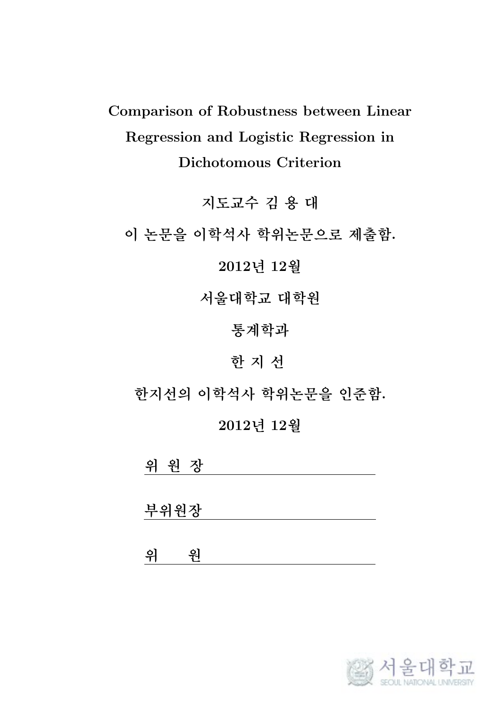**Comparison of Robustness between Linear Regression and Logistic Regression in Dichotomous Criterion**

**지도교수 김 용 대**

**이 논문을 이학석사 학위논문으로 제출함.**

**2012년 12월**

**서울대학교 대학원**

**통계학과**

**한 지 선**

**한지선의 이학석사 학위논문을 인준함.**

**2012년 12월**

**위 원 장**

**부위원장**

**위 원**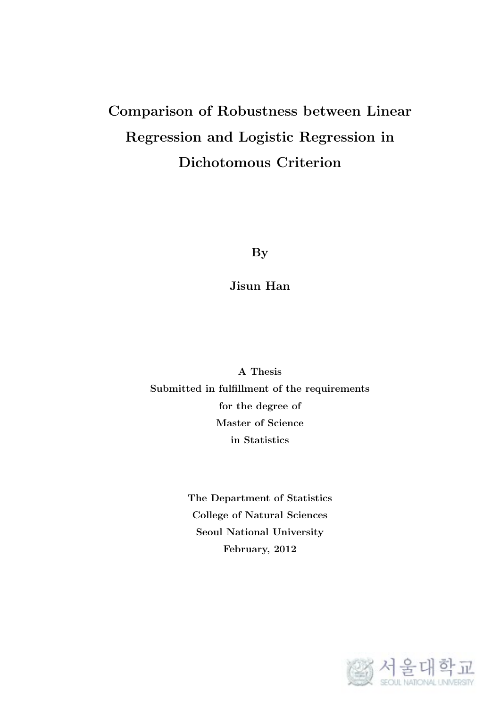## **Comparison of Robustness between Linear Regression and Logistic Regression in Dichotomous Criterion**

**By**

**Jisun Han**

**A Thesis Submitted in fulfillment of the requirements for the degree of Master of Science in Statistics**

> **The Department of Statistics College of Natural Sciences Seoul National University February, 2012**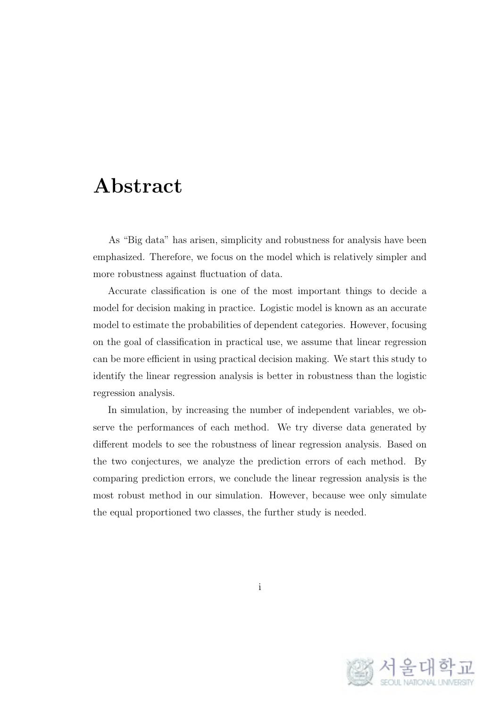#### **Abstract**

As "Big data" has arisen, simplicity and robustness for analysis have been emphasized. Therefore, we focus on the model which is relatively simpler and more robustness against fluctuation of data.

Accurate classification is one of the most important things to decide a model for decision making in practice. Logistic model is known as an accurate model to estimate the probabilities of dependent categories. However, focusing on the goal of classification in practical use, we assume that linear regression can be more efficient in using practical decision making. We start this study to identify the linear regression analysis is better in robustness than the logistic regression analysis.

In simulation, by increasing the number of independent variables, we observe the performances of each method. We try diverse data generated by different models to see the robustness of linear regression analysis. Based on the two conjectures, we analyze the prediction errors of each method. By comparing prediction errors, we conclude the linear regression analysis is the most robust method in our simulation. However, because wee only simulate the equal proportioned two classes, the further study is needed.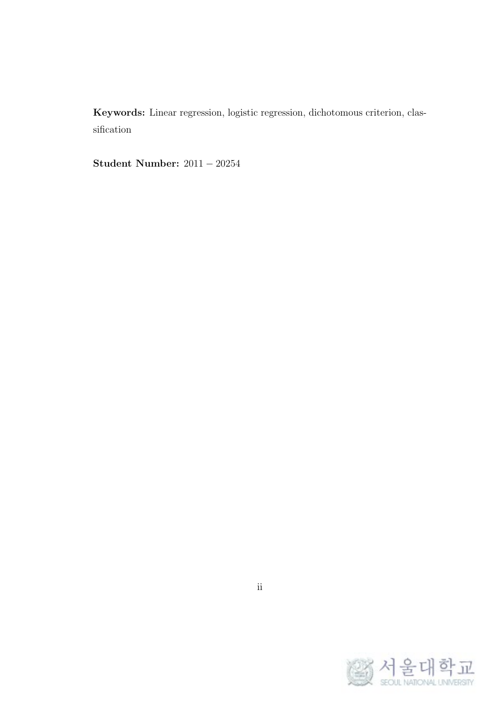**Keywords:** Linear regression, logistic regression, dichotomous criterion, classification

**Student Number:** 2011 *−* 20254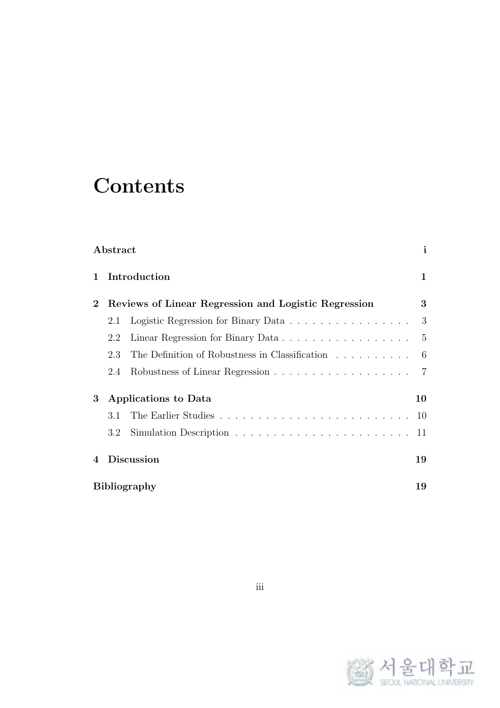# **Contents**

|                | Abstract |                                                      | $\mathbf{i}$    |
|----------------|----------|------------------------------------------------------|-----------------|
| $\mathbf{1}$   |          | Introduction                                         | $\mathbf 1$     |
| $\bf{2}$       |          | Reviews of Linear Regression and Logistic Regression | 3               |
|                | 2.1      | Logistic Regression for Binary Data                  | 3               |
|                | 2.2      | Linear Regression for Binary Data                    | $5\overline{)}$ |
|                | 2.3      | The Definition of Robustness in Classification       | 6               |
|                | 2.4      |                                                      |                 |
| 3              |          | <b>Applications to Data</b>                          | 10              |
|                | 3.1      |                                                      |                 |
|                | 3.2      |                                                      | 11              |
| $\overline{4}$ |          | <b>Discussion</b>                                    | 19              |
|                |          | <b>Bibliography</b>                                  | 19              |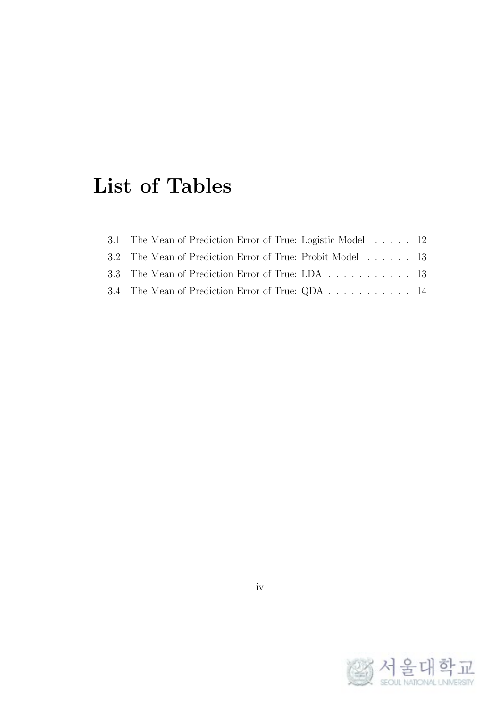## **List of Tables**

| 3.1 The Mean of Prediction Error of True: Logistic Model 12 |  |
|-------------------------------------------------------------|--|
| 3.2 The Mean of Prediction Error of True: Probit Model 13   |  |
| 3.3 The Mean of Prediction Error of True: LDA 13            |  |
| 3.4 The Mean of Prediction Error of True: QDA 14            |  |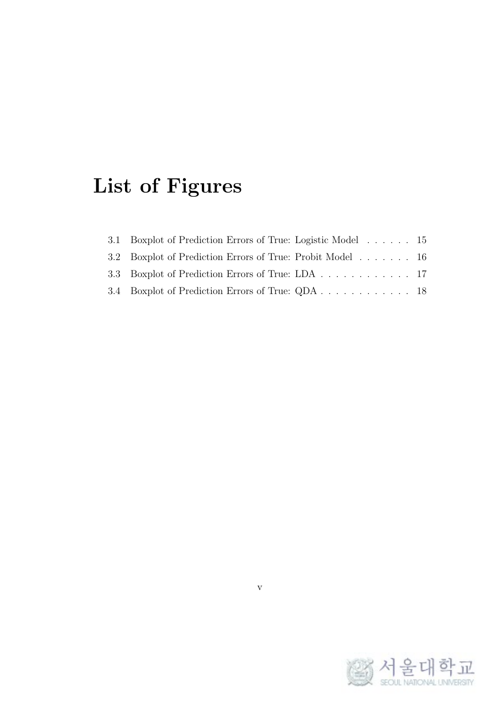# **List of Figures**

| 3.1 Boxplot of Prediction Errors of True: Logistic Model 15 |  |
|-------------------------------------------------------------|--|
| 3.2 Boxplot of Prediction Errors of True: Probit Model 16   |  |
| 3.3 Boxplot of Prediction Errors of True: LDA 17            |  |
| 3.4 Boxplot of Prediction Errors of True: QDA 18            |  |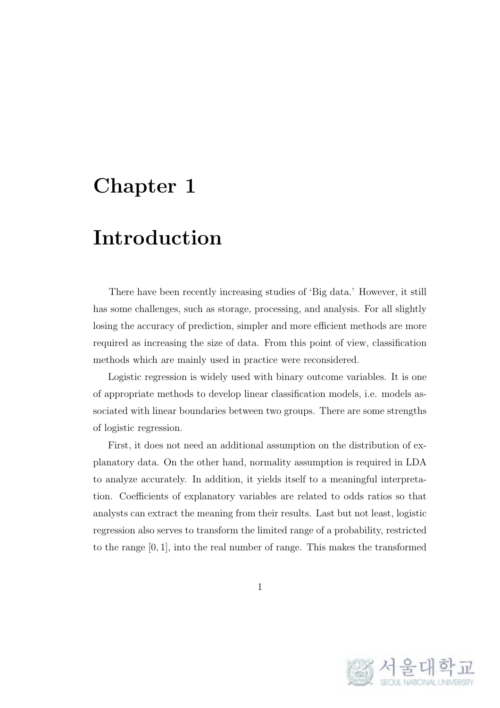### **Chapter 1**

### **Introduction**

There have been recently increasing studies of 'Big data.' However, it still has some challenges, such as storage, processing, and analysis. For all slightly losing the accuracy of prediction, simpler and more efficient methods are more required as increasing the size of data. From this point of view, classification methods which are mainly used in practice were reconsidered.

Logistic regression is widely used with binary outcome variables. It is one of appropriate methods to develop linear classification models, i.e. models associated with linear boundaries between two groups. There are some strengths of logistic regression.

First, it does not need an additional assumption on the distribution of explanatory data. On the other hand, normality assumption is required in LDA to analyze accurately. In addition, it yields itself to a meaningful interpretation. Coefficients of explanatory variables are related to odds ratios so that analysts can extract the meaning from their results. Last but not least, logistic regression also serves to transform the limited range of a probability, restricted to the range [0*,* 1], into the real number of range. This makes the transformed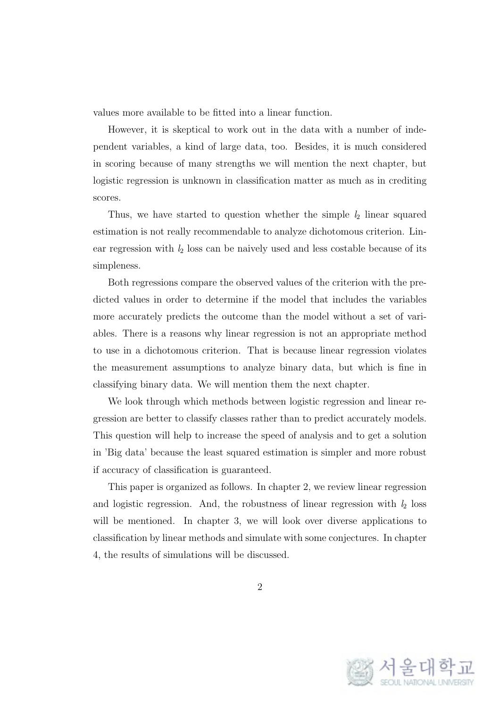values more available to be fitted into a linear function.

However, it is skeptical to work out in the data with a number of independent variables, a kind of large data, too. Besides, it is much considered in scoring because of many strengths we will mention the next chapter, but logistic regression is unknown in classification matter as much as in crediting scores.

Thus, we have started to question whether the simple *l*<sup>2</sup> linear squared estimation is not really recommendable to analyze dichotomous criterion. Linear regression with  $l_2$  loss can be naively used and less costable because of its simpleness.

Both regressions compare the observed values of the criterion with the predicted values in order to determine if the model that includes the variables more accurately predicts the outcome than the model without a set of variables. There is a reasons why linear regression is not an appropriate method to use in a dichotomous criterion. That is because linear regression violates the measurement assumptions to analyze binary data, but which is fine in classifying binary data. We will mention them the next chapter.

We look through which methods between logistic regression and linear regression are better to classify classes rather than to predict accurately models. This question will help to increase the speed of analysis and to get a solution in 'Big data' because the least squared estimation is simpler and more robust if accuracy of classification is guaranteed.

This paper is organized as follows. In chapter 2, we review linear regression and logistic regression. And, the robustness of linear regression with  $l_2$  loss will be mentioned. In chapter 3, we will look over diverse applications to classification by linear methods and simulate with some conjectures. In chapter 4, the results of simulations will be discussed.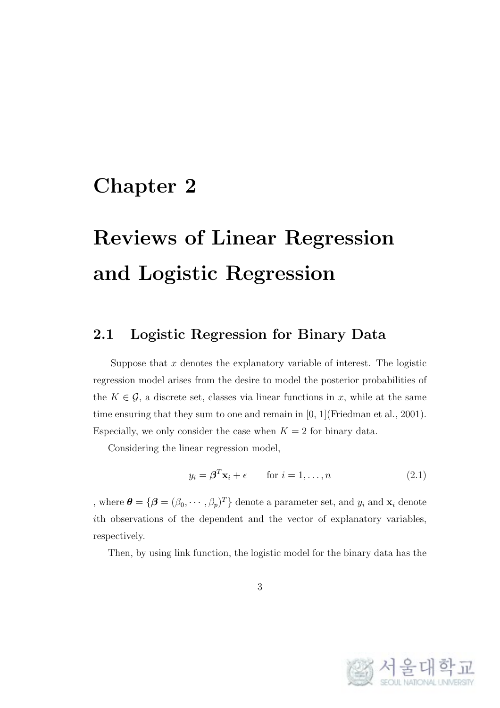#### **Chapter 2**

# **Reviews of Linear Regression and Logistic Regression**

#### **2.1 Logistic Regression for Binary Data**

Suppose that *x* denotes the explanatory variable of interest. The logistic regression model arises from the desire to model the posterior probabilities of the  $K \in \mathcal{G}$ , a discrete set, classes via linear functions in *x*, while at the same time ensuring that they sum to one and remain in [0, 1](Friedman et al., 2001). Especially, we only consider the case when  $K = 2$  for binary data.

Considering the linear regression model,

$$
y_i = \boldsymbol{\beta}^T \mathbf{x}_i + \epsilon \qquad \text{for } i = 1, \dots, n \tag{2.1}
$$

, where  $\boldsymbol{\theta} = {\boldsymbol{\beta} = (\beta_0, \cdots, \beta_p)^T}$  denote a parameter set, and  $y_i$  and  $\mathbf{x}_i$  denote *i*th observations of the dependent and the vector of explanatory variables, respectively.

Then, by using link function, the logistic model for the binary data has the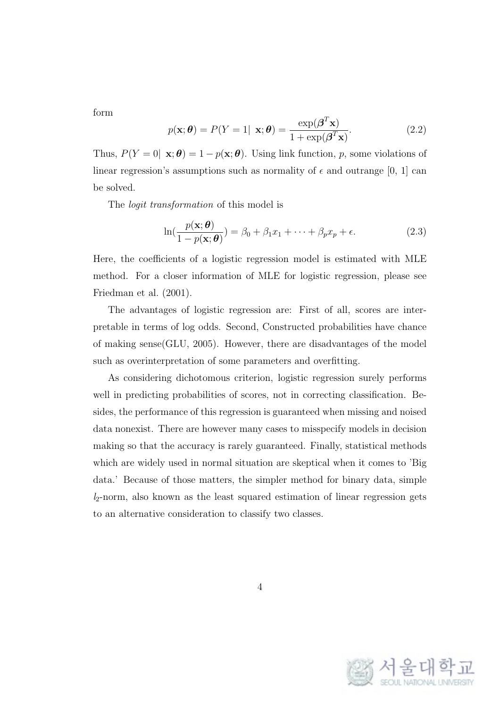form

$$
p(\mathbf{x}; \boldsymbol{\theta}) = P(Y = 1 | \mathbf{x}; \boldsymbol{\theta}) = \frac{\exp(\boldsymbol{\beta}^T \mathbf{x})}{1 + \exp(\boldsymbol{\beta}^T \mathbf{x})}.
$$
 (2.2)

Thus,  $P(Y = 0 | \mathbf{x}; \boldsymbol{\theta}) = 1 - p(\mathbf{x}; \boldsymbol{\theta})$ . Using link function, *p*, some violations of linear regression's assumptions such as normality of  $\epsilon$  and outrange [0, 1] can be solved.

The *logit transformation* of this model is

$$
\ln(\frac{p(\mathbf{x};\boldsymbol{\theta})}{1-p(\mathbf{x};\boldsymbol{\theta})}) = \beta_0 + \beta_1 x_1 + \dots + \beta_p x_p + \epsilon.
$$
 (2.3)

Here, the coefficients of a logistic regression model is estimated with MLE method. For a closer information of MLE for logistic regression, please see Friedman et al. (2001).

The advantages of logistic regression are: First of all, scores are interpretable in terms of log odds. Second, Constructed probabilities have chance of making sense(GLU, 2005). However, there are disadvantages of the model such as overinterpretation of some parameters and overfitting.

As considering dichotomous criterion, logistic regression surely performs well in predicting probabilities of scores, not in correcting classification. Besides, the performance of this regression is guaranteed when missing and noised data nonexist. There are however many cases to misspecify models in decision making so that the accuracy is rarely guaranteed. Finally, statistical methods which are widely used in normal situation are skeptical when it comes to 'Big data.' Because of those matters, the simpler method for binary data, simple *l*2-norm, also known as the least squared estimation of linear regression gets to an alternative consideration to classify two classes.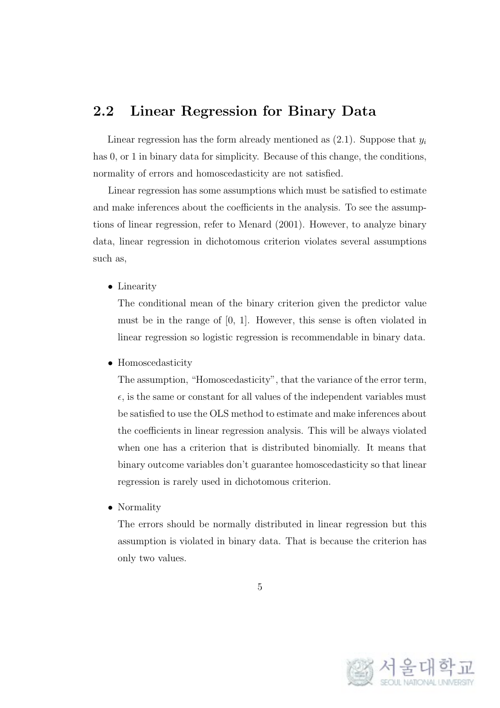#### **2.2 Linear Regression for Binary Data**

Linear regression has the form already mentioned as  $(2.1)$ . Suppose that  $y_i$ has 0, or 1 in binary data for simplicity. Because of this change, the conditions, normality of errors and homoscedasticity are not satisfied.

Linear regression has some assumptions which must be satisfied to estimate and make inferences about the coefficients in the analysis. To see the assumptions of linear regression, refer to Menard (2001). However, to analyze binary data, linear regression in dichotomous criterion violates several assumptions such as,

*•* Linearity

The conditional mean of the binary criterion given the predictor value must be in the range of [0, 1]. However, this sense is often violated in linear regression so logistic regression is recommendable in binary data.

*•* Homoscedasticity

The assumption, "Homoscedasticity", that the variance of the error term,  $\epsilon$ , is the same or constant for all values of the independent variables must be satisfied to use the OLS method to estimate and make inferences about the coefficients in linear regression analysis. This will be always violated when one has a criterion that is distributed binomially. It means that binary outcome variables don't guarantee homoscedasticity so that linear regression is rarely used in dichotomous criterion.

*•* Normality

The errors should be normally distributed in linear regression but this assumption is violated in binary data. That is because the criterion has only two values.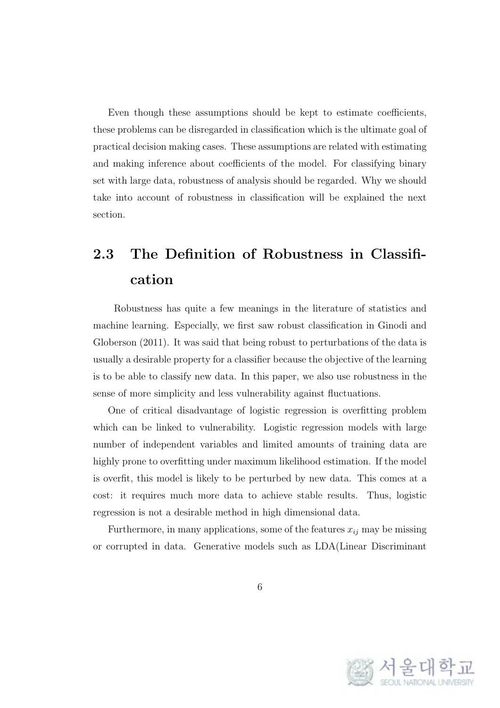Even though these assumptions should be kept to estimate coefficients, these problems can be disregarded in classification which is the ultimate goal of practical decision making cases. These assumptions are related with estimating and making inference about coefficients of the model. For classifying binary set with large data, robustness of analysis should be regarded. Why we should take into account of robustness in classification will be explained the next section.

#### **2.3 The Definition of Robustness in Classification**

Robustness has quite a few meanings in the literature of statistics and machine learning. Especially, we first saw robust classification in Ginodi and Globerson (2011). It was said that being robust to perturbations of the data is usually a desirable property for a classifier because the objective of the learning is to be able to classify new data. In this paper, we also use robustness in the sense of more simplicity and less vulnerability against fluctuations.

One of critical disadvantage of logistic regression is overfitting problem which can be linked to vulnerability. Logistic regression models with large number of independent variables and limited amounts of training data are highly prone to overfitting under maximum likelihood estimation. If the model is overfit, this model is likely to be perturbed by new data. This comes at a cost: it requires much more data to achieve stable results. Thus, logistic regression is not a desirable method in high dimensional data.

Furthermore, in many applications, some of the features  $x_{ij}$  may be missing or corrupted in data. Generative models such as LDA(Linear Discriminant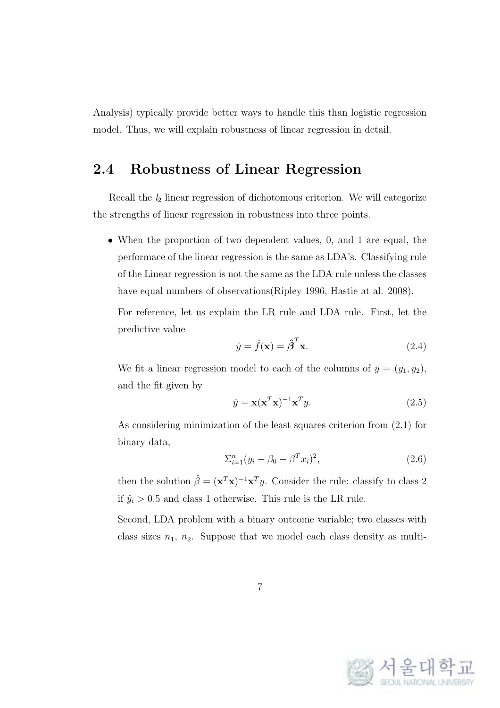Analysis) typically provide better ways to handle this than logistic regression model. Thus, we will explain robustness of linear regression in detail.

#### **2.4 Robustness of Linear Regression**

Recall the *l*<sup>2</sup> linear regression of dichotomous criterion. We will categorize the strengths of linear regression in robustness into three points.

• When the proportion of two dependent values, 0, and 1 are equal, the performace of the linear regression is the same as LDA's. Classifying rule of the Linear regression is not the same as the LDA rule unless the classes have equal numbers of observations (Ripley 1996, Hastie at al. 2008).

For reference, let us explain the LR rule and LDA rule. First, let the predictive value

$$
\hat{y} = \hat{f}(\mathbf{x}) = \hat{\boldsymbol{\beta}}^T \mathbf{x}.
$$
\n(2.4)

We fit a linear regression model to each of the columns of  $y = (y_1, y_2)$ , and the fit given by

$$
\hat{y} = \mathbf{x}(\mathbf{x}^T \mathbf{x})^{-1} \mathbf{x}^T y.
$$
\n(2.5)

As considering minimization of the least squares criterion from (2.1) for binary data,

$$
\sum_{i=1}^{n} (y_i - \beta_0 - \beta^T x_i)^2, \tag{2.6}
$$

then the solution  $\hat{\beta} = (\mathbf{x}^T \mathbf{x})^{-1} \mathbf{x}^T y$ . Consider the rule: classify to class 2 if  $\hat{y}_i > 0.5$  and class 1 otherwise. This rule is the LR rule.

Second, LDA problem with a binary outcome variable; two classes with class sizes  $n_1$ ,  $n_2$ . Suppose that we model each class density as multi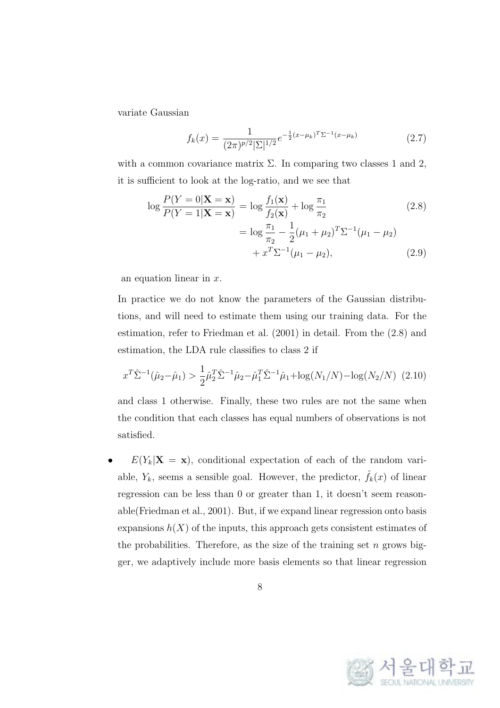variate Gaussian

$$
f_k(x) = \frac{1}{(2\pi)^{p/2} |\Sigma|^{1/2}} e^{-\frac{1}{2}(x - \mu_k)^T \Sigma^{-1} (x - \mu_k)}
$$
(2.7)

with a common covariance matrix  $\Sigma$ . In comparing two classes 1 and 2, it is sufficient to look at the log-ratio, and we see that

$$
\log \frac{P(Y=0|\mathbf{X}=\mathbf{x})}{P(Y=1|\mathbf{X}=\mathbf{x})} = \log \frac{f_1(\mathbf{x})}{f_2(\mathbf{x})} + \log \frac{\pi_1}{\pi_2}
$$
(2.8)  
= 
$$
\log \frac{\pi_1}{\pi_2} - \frac{1}{2}(\mu_1 + \mu_2)^T \Sigma^{-1}(\mu_1 - \mu_2)
$$

$$
+ x^T \Sigma^{-1}(\mu_1 - \mu_2),
$$
(2.9)

an equation linear in *x*.

In practice we do not know the parameters of the Gaussian distributions, and will need to estimate them using our training data. For the estimation, refer to Friedman et al. (2001) in detail. From the (2.8) and estimation, the LDA rule classifies to class 2 if

$$
x^T \hat{\Sigma}^{-1}(\hat{\mu}_2 - \hat{\mu}_1) > \frac{1}{2} \hat{\mu}_2^T \hat{\Sigma}^{-1} \hat{\mu}_2 - \hat{\mu}_1^T \hat{\Sigma}^{-1} \hat{\mu}_1 + \log(N_1/N) - \log(N_2/N) \tag{2.10}
$$

and class 1 otherwise. Finally, these two rules are not the same when the condition that each classes has equal numbers of observations is not satisfied.

 $E(Y_k|\mathbf{X} = \mathbf{x})$ , conditional expectation of each of the random variable,  $Y_k$ , seems a sensible goal. However, the predictor,  $\hat{f}_k(x)$  of linear regression can be less than 0 or greater than 1, it doesn't seem reasonable(Friedman et al., 2001). But, if we expand linear regression onto basis expansions  $h(X)$  of the inputs, this approach gets consistent estimates of the probabilities. Therefore, as the size of the training set *n* grows bigger, we adaptively include more basis elements so that linear regression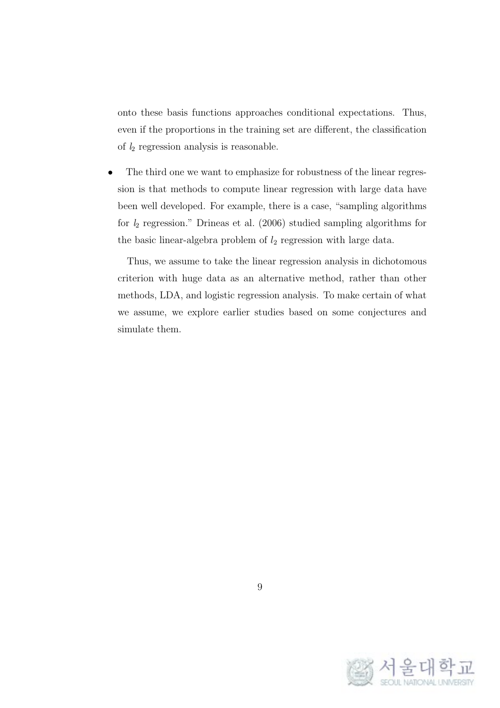onto these basis functions approaches conditional expectations. Thus, even if the proportions in the training set are different, the classification of *l*<sup>2</sup> regression analysis is reasonable.

The third one we want to emphasize for robustness of the linear regression is that methods to compute linear regression with large data have been well developed. For example, there is a case, "sampling algorithms for *l*<sup>2</sup> regression." Drineas et al. (2006) studied sampling algorithms for the basic linear-algebra problem of *l*<sup>2</sup> regression with large data.

Thus, we assume to take the linear regression analysis in dichotomous criterion with huge data as an alternative method, rather than other methods, LDA, and logistic regression analysis. To make certain of what we assume, we explore earlier studies based on some conjectures and simulate them.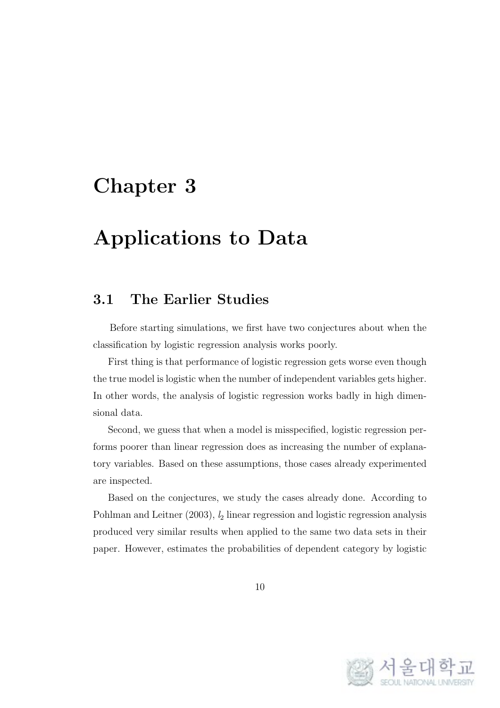### **Chapter 3**

### **Applications to Data**

#### **3.1 The Earlier Studies**

Before starting simulations, we first have two conjectures about when the classification by logistic regression analysis works poorly.

First thing is that performance of logistic regression gets worse even though the true model is logistic when the number of independent variables gets higher. In other words, the analysis of logistic regression works badly in high dimensional data.

Second, we guess that when a model is misspecified, logistic regression performs poorer than linear regression does as increasing the number of explanatory variables. Based on these assumptions, those cases already experimented are inspected.

Based on the conjectures, we study the cases already done. According to Pohlman and Leitner (2003), *l*<sup>2</sup> linear regression and logistic regression analysis produced very similar results when applied to the same two data sets in their paper. However, estimates the probabilities of dependent category by logistic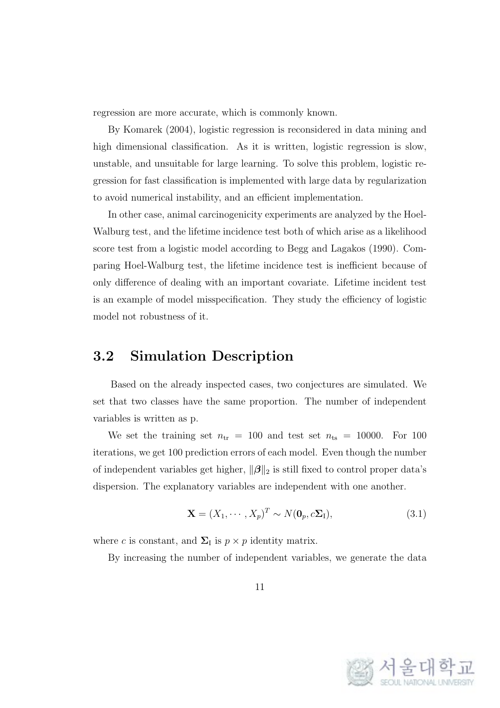regression are more accurate, which is commonly known.

By Komarek (2004), logistic regression is reconsidered in data mining and high dimensional classification. As it is written, logistic regression is slow, unstable, and unsuitable for large learning. To solve this problem, logistic regression for fast classification is implemented with large data by regularization to avoid numerical instability, and an efficient implementation.

In other case, animal carcinogenicity experiments are analyzed by the Hoel-Walburg test, and the lifetime incidence test both of which arise as a likelihood score test from a logistic model according to Begg and Lagakos (1990). Comparing Hoel-Walburg test, the lifetime incidence test is inefficient because of only difference of dealing with an important covariate. Lifetime incident test is an example of model misspecification. They study the efficiency of logistic model not robustness of it.

#### **3.2 Simulation Description**

Based on the already inspected cases, two conjectures are simulated. We set that two classes have the same proportion. The number of independent variables is written as p.

We set the training set  $n_{tr} = 100$  and test set  $n_{ts} = 10000$ . For 100 iterations, we get 100 prediction errors of each model. Even though the number of independent variables get higher, *∥β∥*<sup>2</sup> is still fixed to control proper data's dispersion. The explanatory variables are independent with one another.

$$
\mathbf{X} = (X_1, \cdots, X_p)^T \sim N(\mathbf{0}_p, c\Sigma_I),
$$
\n(3.1)

where *c* is constant, and  $\Sigma_I$  is  $p \times p$  identity matrix.

By increasing the number of independent variables, we generate the data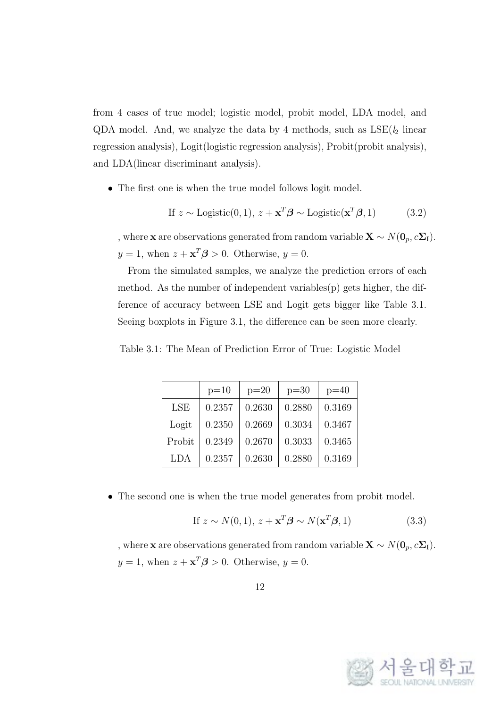from 4 cases of true model; logistic model, probit model, LDA model, and QDA model. And, we analyze the data by 4 methods, such as  $LSE(l_2)$  linear regression analysis), Logit(logistic regression analysis), Probit(probit analysis), and LDA(linear discriminant analysis).

• The first one is when the true model follows logit model.

If 
$$
z \sim \text{Logistic}(0, 1), z + \mathbf{x}^T \boldsymbol{\beta} \sim \text{Logistic}(\mathbf{x}^T \boldsymbol{\beta}, 1)
$$
 (3.2)

, where **x** are observations generated from random variable **X**  $\sim N(\mathbf{0}_p, c\mathbf{\Sigma}_{\mathrm{I}})$ .  $y = 1$ , when  $z + \mathbf{x}^T \boldsymbol{\beta} > 0$ . Otherwise,  $y = 0$ .

From the simulated samples, we analyze the prediction errors of each method. As the number of independent variables(p) gets higher, the difference of accuracy between LSE and Logit gets bigger like Table 3.1. Seeing boxplots in Figure 3.1, the difference can be seen more clearly.

Table 3.1: The Mean of Prediction Error of True: Logistic Model

|        | $p=10$ | $p=20$ | $p=30$ | $p=40$ |
|--------|--------|--------|--------|--------|
| LSE    | 0.2357 | 0.2630 | 0.2880 | 0.3169 |
| Logit  | 0.2350 | 0.2669 | 0.3034 | 0.3467 |
| Probit | 0.2349 | 0.2670 | 0.3033 | 0.3465 |
| LDA    | 0.2357 | 0.2630 | 0.2880 | 0.3169 |

• The second one is when the true model generates from probit model.

$$
\text{If } z \sim N(0, 1), \, z + \mathbf{x}^T \boldsymbol{\beta} \sim N(\mathbf{x}^T \boldsymbol{\beta}, 1) \tag{3.3}
$$

, where **x** are observations generated from random variable **X**  $\sim N(\mathbf{0}_p, c\mathbf{\Sigma}_{\mathbf{I}})$ .  $y = 1$ , when  $z + \mathbf{x}^T \boldsymbol{\beta} > 0$ . Otherwise,  $y = 0$ .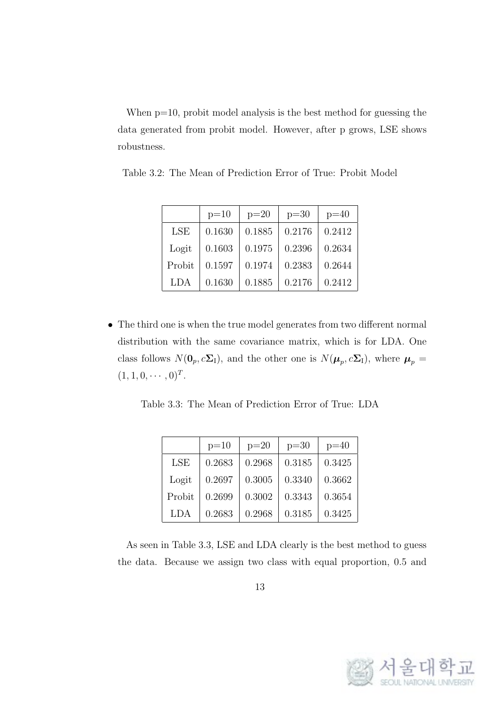When  $p=10$ , probit model analysis is the best method for guessing the data generated from probit model. However, after p grows, LSE shows robustness.

|        | $p=10$ | $p=20$ | $p=30$ | $p=40$ |
|--------|--------|--------|--------|--------|
| LSE    | 0.1630 | 0.1885 | 0.2176 | 0.2412 |
| Logit  | 0.1603 | 0.1975 | 0.2396 | 0.2634 |
| Probit | 0.1597 | 0.1974 | 0.2383 | 0.2644 |
| LDA    | 0.1630 | 0.1885 | 0.2176 | 0.2412 |

Table 3.2: The Mean of Prediction Error of True: Probit Model

• The third one is when the true model generates from two different normal distribution with the same covariance matrix, which is for LDA. One class follows  $N(\mathbf{0}_p, c\Sigma_I)$ , and the other one is  $N(\boldsymbol{\mu}_p, c\Sigma_I)$ , where  $\boldsymbol{\mu}_p =$  $(1, 1, 0, \cdots, 0)^T$ .

Table 3.3: The Mean of Prediction Error of True: LDA

|        | $p=10$ | $p=20$ | $p=30$ | $p=40$ |
|--------|--------|--------|--------|--------|
| LSE    | 0.2683 | 0.2968 | 0.3185 | 0.3425 |
| Logit  | 0.2697 | 0.3005 | 0.3340 | 0.3662 |
| Probit | 0.2699 | 0.3002 | 0.3343 | 0.3654 |
| LDA    | 0.2683 | 0.2968 | 0.3185 | 0.3425 |

As seen in Table 3.3, LSE and LDA clearly is the best method to guess the data. Because we assign two class with equal proportion, 0.5 and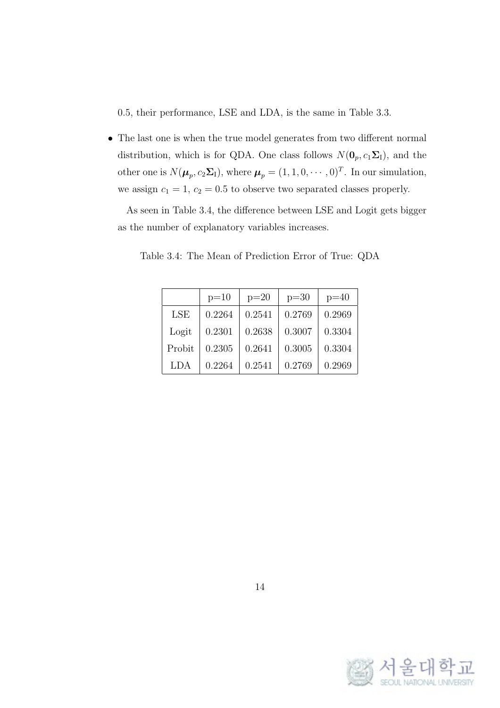0.5, their performance, LSE and LDA, is the same in Table 3.3.

*•* The last one is when the true model generates from two different normal distribution, which is for QDA. One class follows  $N(\mathbf{0}_p, c_1\mathbf{\Sigma}_{\mathbf{I}})$ , and the other one is  $N(\mu_p, c_2\Sigma_I)$ , where  $\mu_p = (1, 1, 0, \dots, 0)^T$ . In our simulation, we assign  $c_1 = 1$ ,  $c_2 = 0.5$  to observe two separated classes properly.

As seen in Table 3.4, the difference between LSE and Logit gets bigger as the number of explanatory variables increases.

|            | $p=10$ | $p=20$ | $p=30$ | $p=40$ |
|------------|--------|--------|--------|--------|
| <b>LSE</b> | 0.2264 | 0.2541 | 0.2769 | 0.2969 |
| Logit      | 0.2301 | 0.2638 | 0.3007 | 0.3304 |
| Probit     | 0.2305 | 0.2641 | 0.3005 | 0.3304 |
| LDA        | 0.2264 | 0.2541 | 0.2769 | 0.2969 |

Table 3.4: The Mean of Prediction Error of True: QDA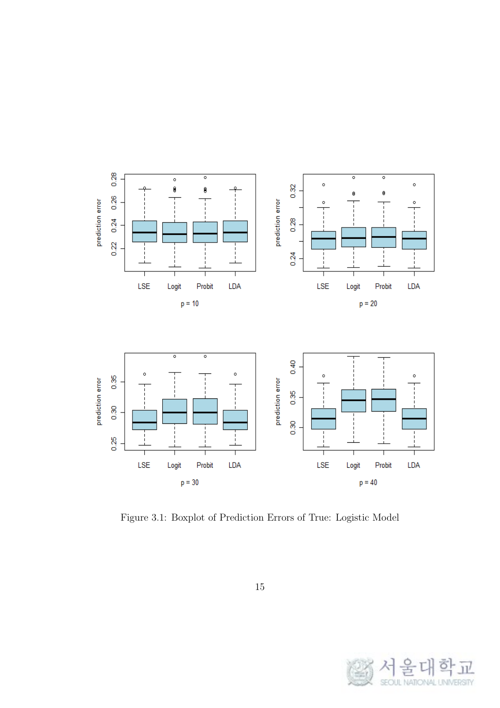

Figure 3.1: Boxplot of Prediction Errors of True: Logistic Model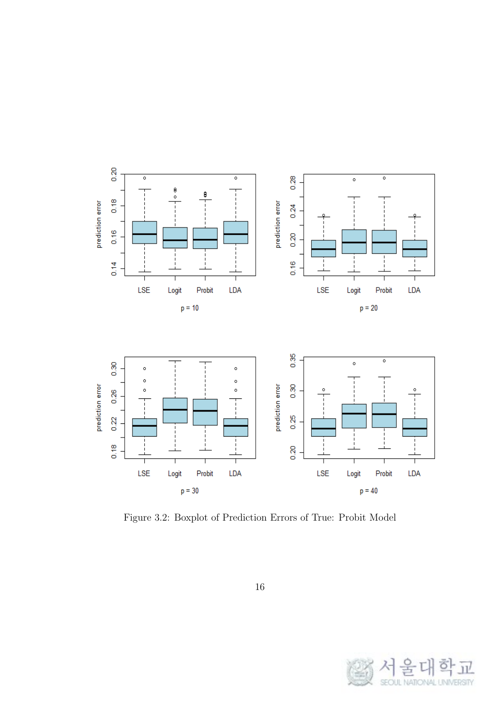

Figure 3.2: Boxplot of Prediction Errors of True: Probit Model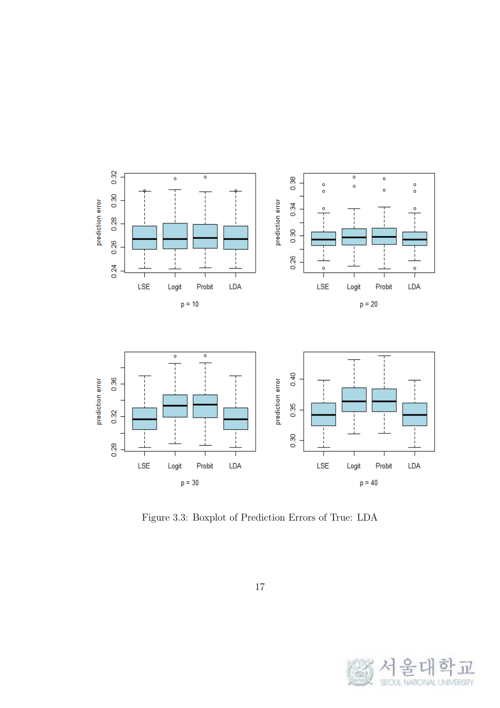

Figure 3.3: Boxplot of Prediction Errors of True: LDA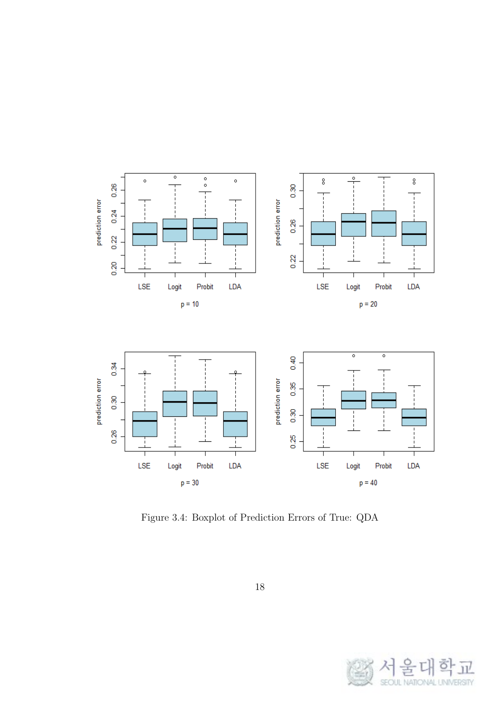

Figure 3.4: Boxplot of Prediction Errors of True: QDA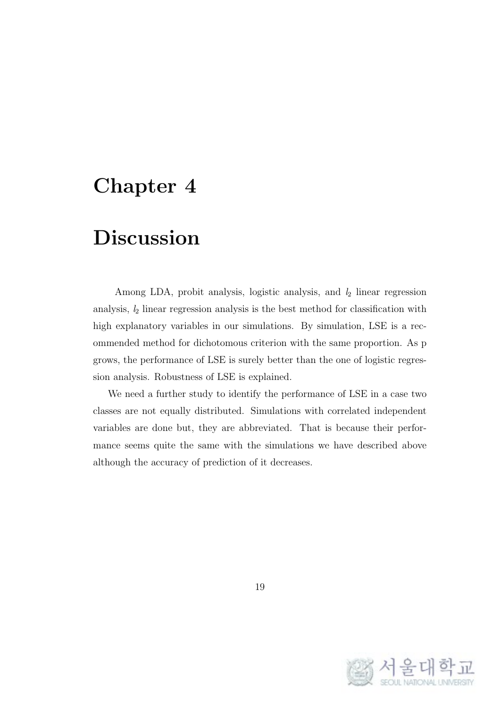#### **Chapter 4**

### **Discussion**

Among LDA, probit analysis, logistic analysis, and *l*<sup>2</sup> linear regression analysis, *l*<sup>2</sup> linear regression analysis is the best method for classification with high explanatory variables in our simulations. By simulation, LSE is a recommended method for dichotomous criterion with the same proportion. As p grows, the performance of LSE is surely better than the one of logistic regression analysis. Robustness of LSE is explained.

We need a further study to identify the performance of LSE in a case two classes are not equally distributed. Simulations with correlated independent variables are done but, they are abbreviated. That is because their performance seems quite the same with the simulations we have described above although the accuracy of prediction of it decreases.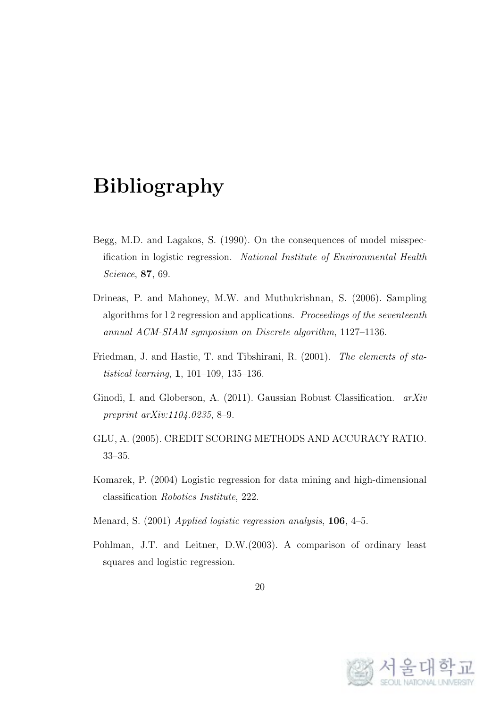### **Bibliography**

- Begg, M.D. and Lagakos, S. (1990). On the consequences of model misspecification in logistic regression. *National Institute of Environmental Health Science*, **87**, 69.
- Drineas, P. and Mahoney, M.W. and Muthukrishnan, S. (2006). Sampling algorithms for l 2 regression and applications. *Proceedings of the seventeenth annual ACM-SIAM symposium on Discrete algorithm*, 1127–1136.
- Friedman, J. and Hastie, T. and Tibshirani, R. (2001). *The elements of statistical learning*, **1**, 101–109, 135–136.
- Ginodi, I. and Globerson, A. (2011). Gaussian Robust Classification. *arXiv preprint arXiv:1104.0235*, 8–9.
- GLU, A. (2005). CREDIT SCORING METHODS AND ACCURACY RATIO. 33–35.
- Komarek, P. (2004) Logistic regression for data mining and high-dimensional classification *Robotics Institute*, 222.
- Menard, S. (2001) *Applied logistic regression analysis*, **106**, 4–5.
- Pohlman, J.T. and Leitner, D.W.(2003). A comparison of ordinary least squares and logistic regression.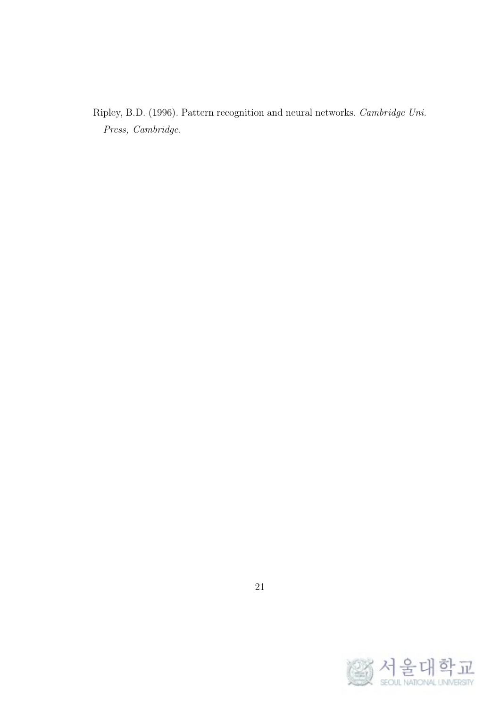Ripley, B.D. (1996). Pattern recognition and neural networks. *Cambridge Uni. Press, Cambridge.*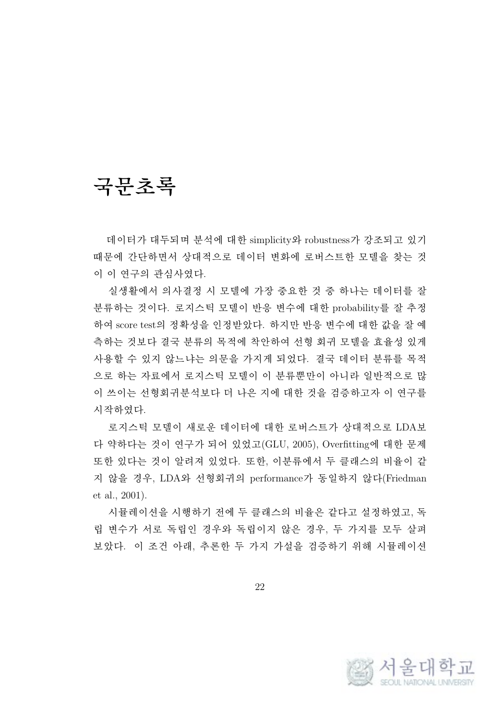# **국문초록**

데이터가 대두되며 분석에 대한 simplicity와 robustness가 강조되고 있기 때문에 간단하면서 상대적으로 데이터 변화에 로버스트한 모델을 찾는 것 이 이 연구의 관심사였다.

실생활에서 의사결정 시 모델에 가장 중요한 것 중 하나는 데이터를 잘 분류하는 것이다. 로지스틱 모델이 반응 변수에 대한 probability를 잘 추정 하여 score test의 정확성을 인정받았다. 하지만 반응 변수에 대한 값을 잘 예 측하는 것보다 결국 분류의 목적에 착안하여 선형 회귀 모델을 효율성 있게 사용할 수 있지 않느냐는 의문을 가지게 되었다. 결국 데이터 분류를 목적 으로 하는 자료에서 로지스틱 모델이 이 분류뿐만이 아니라 일반적으로 많 이 쓰이는 선형회귀분석보다 더 나은 지에 대한 것을 검증하고자 이 연구를 시작하였다.

로지스틱 모델이 새로운 데이터에 대한 로버스트가 상대적으로 LDA보 다 약하다는 것이 연구가 되어 있었고(GLU, 2005), Overfitting에 대한 문제 또한 있다는 것이 알려져 있었다. 또한, 이분류에서 두 클래스의 비율이 같 지 않을 경우, LDA와 선형회귀의 performance가 동일하지 않다(Friedman et al., 2001).

시뮬레이션을 시행하기 전에 두 클래스의 비율은 같다고 설정하였고, 독 립 변수가 서로 독립인 경우와 독립이지 않은 경우, 두 가지를 모두 살펴 보았다. 이 조건 아래, 추론한 두 가지 가설을 검증하기 위해 시뮬레이션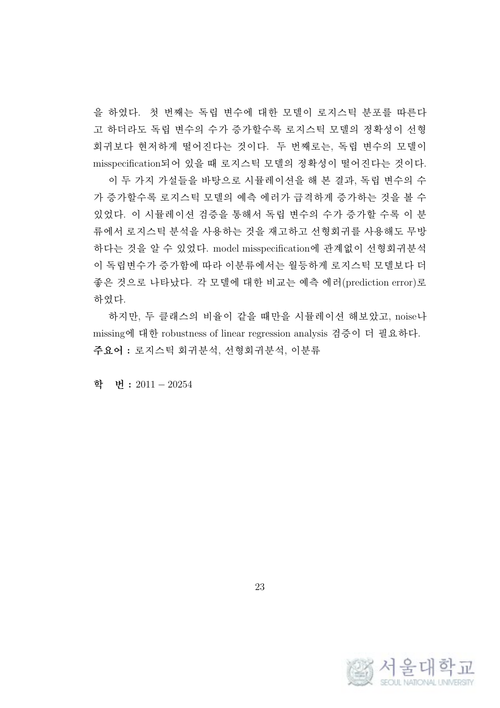을 하였다. 첫 번째는 독립 변수에 대한 모델이 로지스틱 분포를 따른다 고 하더라도 독립 변수의 수가 증가할수록 로지스틱 모델의 정확성이 선형 회귀보다 현저하게 떨어진다는 것이다. 두 번째로는, 독립 변수의 모델이 misspecification되어 있을 때 로지스틱 모델의 정확성이 떨어진다는 것이다. 이 두 가지 가설들을 바탕으로 시뮬레이션을 해 본 결과, 독립 변수의 수 가 증가할수록 로지스틱 모델의 예측 에러가 급격하게 증가하는 것을 볼 수 있었다. 이 시뮬레이션 검증을 통해서 독립 변수의 수가 증가할 수록 이 분 류에서 로지스틱 분석을 사용하는 것을 재고하고 선형회귀를 사용해도 무방 하다는 것을 알 수 있었다. model misspecification에 관계없이 선형회귀분석 이 독립변수가 증가함에 따라 이분류에서는 월등하게 로지스틱 모델보다 더 좋은 것으로 나타났다. 각 모델에 대한 비교는 예측 에러(prediction error)로 하였다.

하지만, 두 클래스의 비율이 같을 때만을 시뮬레이션 해보았고, noise나 missing에 대한 robustness of linear regression analysis 검증이 더 필요하다. **주요어 :** 로지스틱 회귀분석, 선형회귀분석, 이분류

**학 번 :** 2011 *−* 20254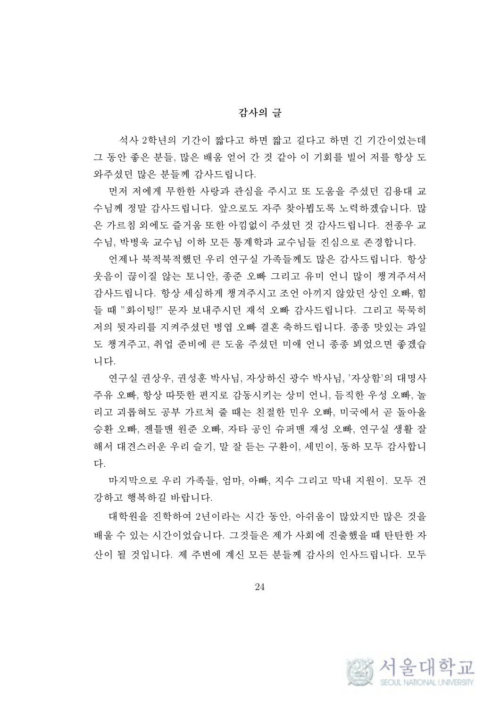#### **감사의 글**

석사 2학년의 기간이 짧다고 하면 짧고 길다고 하면 긴 기간이었는데 그 동안 좋은 분들, 많은 배움 얻어 간 것 같아 이 기회를 빌어 저를 항상 도 와주셨던 많은 분들께 감사드립니다.

먼저 저에게 무한한 사랑과 관심을 주시고 또 도움을 주셨던 김용대 교 수님께 정말 감사드립니다. 앞으로도 자주 찾아뵙도록 노력하겠습니다. 많 은 가르침 외에도 즐거움 또한 아낌없이 주셨던 것 감사드립니다. 전종우 교 수님, 박병욱 교수님 이하 모든 통계학과 교수님들 진심으로 존경합니다.

언제나 북적북적했던 우리 연구실 가족들께도 많은 감사드립니다. 항상 웃음이 끊이질 않는 토니안, 종준 오빠 그리고 유미 언니 많이 챙겨주셔서 감사드립니다. 항상 세심하게 챙겨주시고 조언 아끼지 않았던 상인 오빠, 힘 들 때 "화이팅!" 문자 보내주시던 재석 오빠 감사드립니다. 그리고 묵묵히 저의 뒷자리를 지켜주셨던 병엽 오빠 결혼 축하드립니다. 종종 맛있는 과일 도 챙겨주고, 취업 준비에 큰 도움 주셨던 미애 언니 종종 뵈었으면 좋겠습 니다.

연구실 권상우, 권성훈 박사님, 자상하신 광수 박사님, '자상함'의 대명사 주유 오빠, 항상 따뜻한 편지로 감동시키는 상미 언니, 듬직한 우성 오빠, 놀 리고 괴롭혀도 공부 가르쳐 줄 때는 친절한 민우 오빠, 미국에서 곧 돌아올 승환 오빠, 젠틀맨 원준 오빠, 자타 공인 슈퍼맨 재성 오빠, 연구실 생활 잘 해서 대견스러운 우리 슬기, 말 잘 듣는 구환이, 세민이, 동하 모두 감사합니 다.

마지막으로 우리 가족들, 엄마, 아빠, 지수 그리고 막내 지원이. 모두 건 강하고 행복하길 바랍니다.

대학원을 진학하여 2년이라는 시간 동안, 아쉬움이 많았지만 많은 것을 배울 수 있는 시간이었습니다. 그것들은 제가 사회에 진출했을 때 탄탄한 자 산이 될 것입니다. 제 주변에 계신 모든 분들께 감사의 인사드립니다. 모두